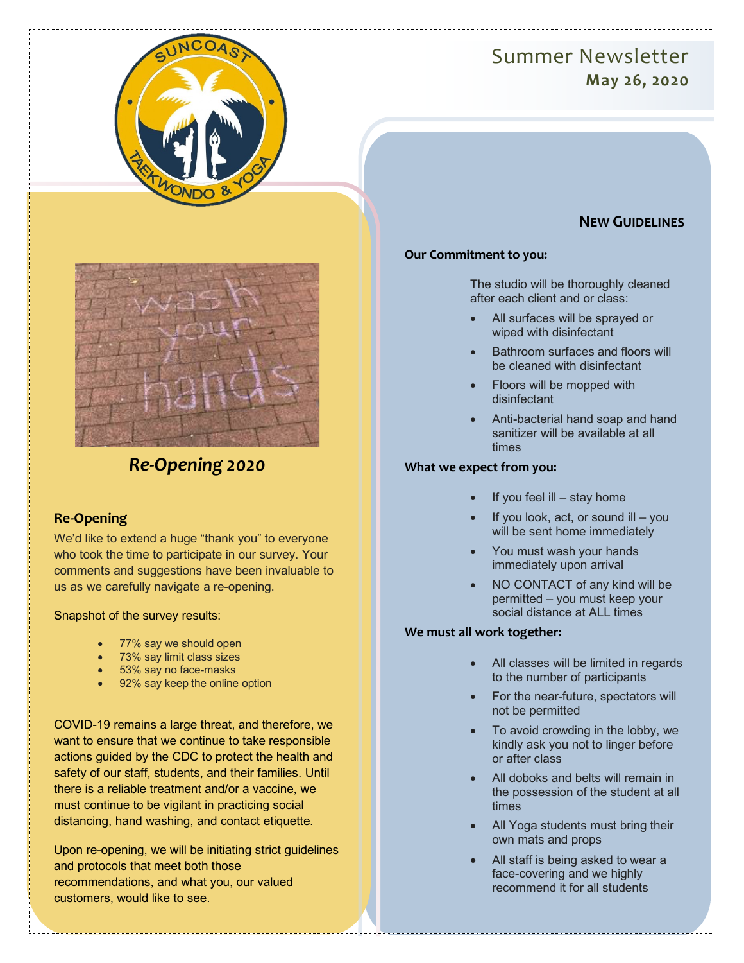# Summer Newsletter **May 26, 2020**





# *Re-Opening 2020*

## **Re-Opening**

We'd like to extend a huge "thank you" to everyone who took the time to participate in our survey. Your comments and suggestions have been invaluable to us as we carefully navigate a re-opening.

Snapshot of the survey results:

- 77% say we should open
- 73% say limit class sizes
- 53% say no face-masks
- 92% say keep the online option

COVID-19 remains a large threat, and therefore, we want to ensure that we continue to take responsible actions guided by the CDC to protect the health and safety of our staff, students, and their families. Until there is a reliable treatment and/or a vaccine, we must continue to be vigilant in practicing social distancing, hand washing, and contact etiquette.

Upon re-opening, we will be initiating strict guidelines and protocols that meet both those recommendations, and what you, our valued customers, would like to see.

# **NEW GUIDELINES**

#### **Our Commitment to you:**

The studio will be thoroughly cleaned after each client and or class:

- All surfaces will be sprayed or wiped with disinfectant
- Bathroom surfaces and floors will be cleaned with disinfectant
- Floors will be mopped with disinfectant
- Anti-bacterial hand soap and hand sanitizer will be available at all times

#### **What we expect from you:**

- If you feel ill  $-$  stay home
- If you look, act, or sound  $ill you$ will be sent home immediately
- You must wash your hands immediately upon arrival
- NO CONTACT of any kind will be permitted – you must keep your social distance at ALL times

### **We must all work together:**

- All classes will be limited in regards to the number of participants
- For the near-future, spectators will not be permitted
- To avoid crowding in the lobby, we kindly ask you not to linger before or after class
- All doboks and belts will remain in the possession of the student at all times
- All Yoga students must bring their own mats and props
- All staff is being asked to wear a face-covering and we highly recommend it for all students